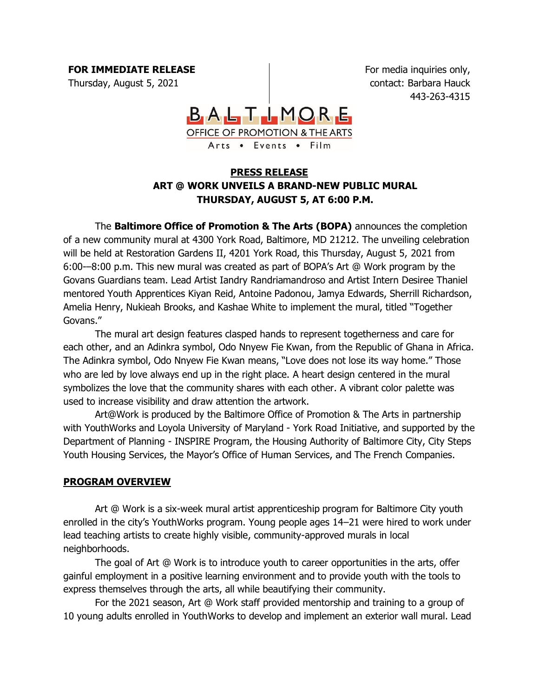**FOR IMMEDIATE RELEASE** Thursday, August 5, 2021

For media inquiries only, contact: Barbara Hauck 443-263-4315



## **PRESS RELEASE ART @ WORK UNVEILS A BRAND-NEW PUBLIC MURAL THURSDAY, AUGUST 5, AT 6:00 P.M.**

The **Baltimore Office of Promotion & The Arts (BOPA)** announces the completion of a new community mural at 4300 York Road, Baltimore, MD 21212. The unveiling celebration will be held at Restoration Gardens II, 4201 York Road, this Thursday, August 5, 2021 from 6:00-–8:00 p.m. This new mural was created as part of BOPA's Art @ Work program by the Govans Guardians team. Lead Artist Iandry Randriamandroso and Artist Intern Desiree Thaniel mentored Youth Apprentices Kiyan Reid, Antoine Padonou, Jamya Edwards, Sherrill Richardson, Amelia Henry, Nukieah Brooks, and Kashae White to implement the mural, titled "Together Govans."

The mural art design features clasped hands to represent togetherness and care for each other, and an Adinkra symbol, Odo Nnyew Fie Kwan, from the Republic of Ghana in Africa. The Adinkra symbol, Odo Nnyew Fie Kwan means, "Love does not lose its way home." Those who are led by love always end up in the right place. A heart design centered in the mural symbolizes the love that the community shares with each other. A vibrant color palette was used to increase visibility and draw attention the artwork.

Art@Work is produced by the Baltimore Office of Promotion & The Arts in partnership with YouthWorks and Loyola University of Maryland - York Road Initiative, and supported by the Department of Planning - INSPIRE Program, the Housing Authority of Baltimore City, City Steps Youth Housing Services, the Mayor's Office of Human Services, and The French Companies.

## **PROGRAM OVERVIEW**

Art @ Work is a six-week mural artist apprenticeship program for Baltimore City youth enrolled in the city's YouthWorks program. Young people ages 14–21 were hired to work under lead teaching artists to create highly visible, community-approved murals in local neighborhoods.

The goal of Art @ Work is to introduce youth to career opportunities in the arts, offer gainful employment in a positive learning environment and to provide youth with the tools to express themselves through the arts, all while beautifying their community.

For the 2021 season, Art @ Work staff provided mentorship and training to a group of 10 young adults enrolled in YouthWorks to develop and implement an exterior wall mural. Lead